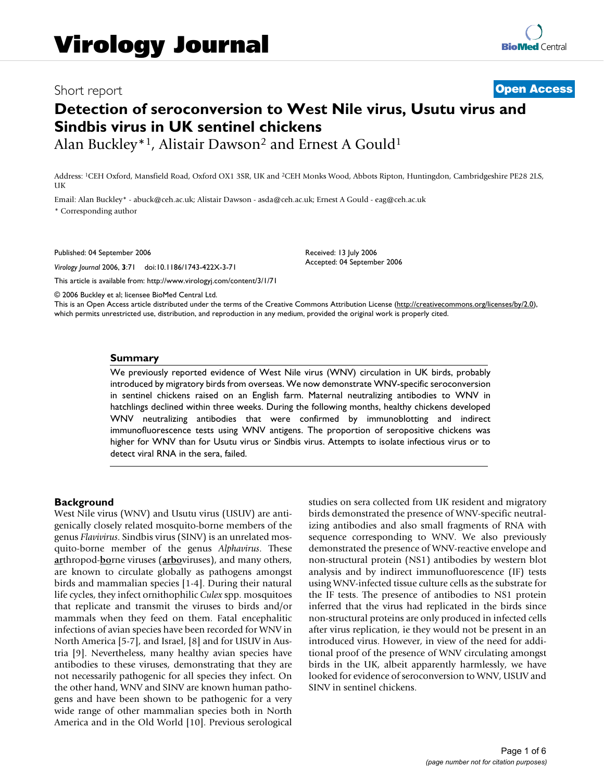## Short report **[Open Access](http://www.biomedcentral.com/info/about/charter/)**

# **Detection of seroconversion to West Nile virus, Usutu virus and Sindbis virus in UK sentinel chickens** Alan Buckley\*1, Alistair Dawson2 and Ernest A Gould1

Address: 1CEH Oxford, Mansfield Road, Oxford OX1 3SR, UK and 2CEH Monks Wood, Abbots Ripton, Huntingdon, Cambridgeshire PE28 2LS, **IK** 

Email: Alan Buckley\* - abuck@ceh.ac.uk; Alistair Dawson - asda@ceh.ac.uk; Ernest A Gould - eag@ceh.ac.uk \* Corresponding author

Published: 04 September 2006

*Virology Journal* 2006, **3**:71 doi:10.1186/1743-422X-3-71

[This article is available from: http://www.virologyj.com/content/3/1/71](http://www.virologyj.com/content/3/1/71)

Received: 13 July 2006 Accepted: 04 September 2006

© 2006 Buckley et al; licensee BioMed Central Ltd.

This is an Open Access article distributed under the terms of the Creative Commons Attribution License [\(http://creativecommons.org/licenses/by/2.0\)](http://creativecommons.org/licenses/by/2.0), which permits unrestricted use, distribution, and reproduction in any medium, provided the original work is properly cited.

#### **Summary**

We previously reported evidence of West Nile virus (WNV) circulation in UK birds, probably introduced by migratory birds from overseas. We now demonstrate WNV-specific seroconversion in sentinel chickens raised on an English farm. Maternal neutralizing antibodies to WNV in hatchlings declined within three weeks. During the following months, healthy chickens developed WNV neutralizing antibodies that were confirmed by immunoblotting and indirect immunofluorescence tests using WNV antigens. The proportion of seropositive chickens was higher for WNV than for Usutu virus or Sindbis virus. Attempts to isolate infectious virus or to detect viral RNA in the sera, failed.

#### **Background**

West Nile virus (WNV) and Usutu virus (USUV) are antigenically closely related mosquito-borne members of the genus *Flavivirus*. Sindbis virus (SINV) is an unrelated mosquito-borne member of the genus *Alphavirus*. These **ar**thropod-**bo**rne viruses (**arbo**viruses), and many others, are known to circulate globally as pathogens amongst birds and mammalian species [1-4]. During their natural life cycles, they infect ornithophilic *Culex* spp. mosquitoes that replicate and transmit the viruses to birds and/or mammals when they feed on them. Fatal encephalitic infections of avian species have been recorded for WNV in North America [5-7], and Israel, [8] and for USUV in Austria [9]. Nevertheless, many healthy avian species have antibodies to these viruses, demonstrating that they are not necessarily pathogenic for all species they infect. On the other hand, WNV and SINV are known human pathogens and have been shown to be pathogenic for a very wide range of other mammalian species both in North America and in the Old World [10]. Previous serological studies on sera collected from UK resident and migratory birds demonstrated the presence of WNV-specific neutralizing antibodies and also small fragments of RNA with sequence corresponding to WNV. We also previously demonstrated the presence of WNV-reactive envelope and non-structural protein (NS1) antibodies by western blot analysis and by indirect immunofluorescence (IF) tests using WNV-infected tissue culture cells as the substrate for the IF tests. The presence of antibodies to NS1 protein inferred that the virus had replicated in the birds since non-structural proteins are only produced in infected cells after virus replication, ie they would not be present in an introduced virus. However, in view of the need for additional proof of the presence of WNV circulating amongst birds in the UK, albeit apparently harmlessly, we have looked for evidence of seroconversion to WNV, USUV and SINV in sentinel chickens.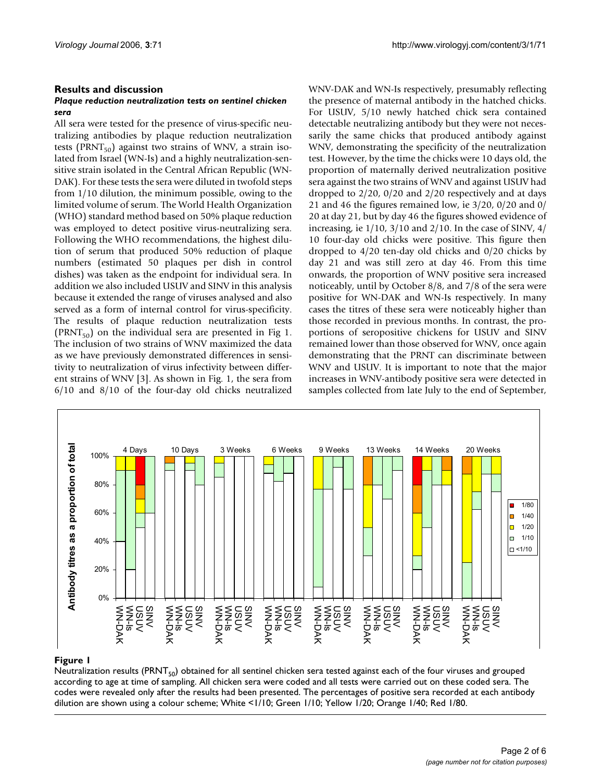#### **Results and discussion**

#### *Plaque reduction neutralization tests on sentinel chicken sera*

All sera were tested for the presence of virus-specific neutralizing antibodies by plaque reduction neutralization tests (PRNT $_{50}$ ) against two strains of WNV, a strain isolated from Israel (WN-Is) and a highly neutralization-sensitive strain isolated in the Central African Republic (WN-DAK). For these tests the sera were diluted in twofold steps from 1/10 dilution, the minimum possible, owing to the limited volume of serum. The World Health Organization (WHO) standard method based on 50% plaque reduction was employed to detect positive virus-neutralizing sera. Following the WHO recommendations, the highest dilution of serum that produced 50% reduction of plaque numbers (estimated 50 plaques per dish in control dishes) was taken as the endpoint for individual sera. In addition we also included USUV and SINV in this analysis because it extended the range of viruses analysed and also served as a form of internal control for virus-specificity. The results of plaque reduction neutralization tests (PRNT<sub>50</sub>) on the individual sera are presented in Fig 1. The inclusion of two strains of WNV maximized the data as we have previously demonstrated differences in sensitivity to neutralization of virus infectivity between different strains of WNV [3]. As shown in Fig. 1, the sera from 6/10 and 8/10 of the four-day old chicks neutralized

WNV-DAK and WN-Is respectively, presumably reflecting the presence of maternal antibody in the hatched chicks. For USUV, 5/10 newly hatched chick sera contained detectable neutralizing antibody but they were not necessarily the same chicks that produced antibody against WNV, demonstrating the specificity of the neutralization test. However, by the time the chicks were 10 days old, the proportion of maternally derived neutralization positive sera against the two strains of WNV and against USUV had dropped to 2/20, 0/20 and 2/20 respectively and at days 21 and 46 the figures remained low, ie 3/20, 0/20 and 0/ 20 at day 21, but by day 46 the figures showed evidence of increasing, ie  $1/10$ ,  $3/10$  and  $2/10$ . In the case of SINV,  $4/$ 10 four-day old chicks were positive. This figure then dropped to 4/20 ten-day old chicks and 0/20 chicks by day 21 and was still zero at day 46. From this time onwards, the proportion of WNV positive sera increased noticeably, until by October 8/8, and 7/8 of the sera were positive for WN-DAK and WN-Is respectively. In many cases the titres of these sera were noticeably higher than those recorded in previous months. In contrast, the proportions of seropositive chickens for USUV and SINV remained lower than those observed for WNV, once again demonstrating that the PRNT can discriminate between WNV and USUV. It is important to note that the major increases in WNV-antibody positive sera were detected in samples collected from late July to the end of September,



Neutralization results (PRNT50 according to age at time of sampling **Figure 1** ) obtained for all sentinel chicken sera tested against each of the four viruses and grouped Neutralization results ( $\mathsf{PRNT}_{50}$ ) obtained for all sentinel chicken sera tested against each of the four viruses and grouped according to age at time of sampling. All chicken sera were coded and all tests were carried out on these coded sera. The codes were revealed only after the results had been presented. The percentages of positive sera recorded at each antibody dilution are shown using a colour scheme; White <1/10; Green 1/10; Yellow 1/20; Orange 1/40; Red 1/80.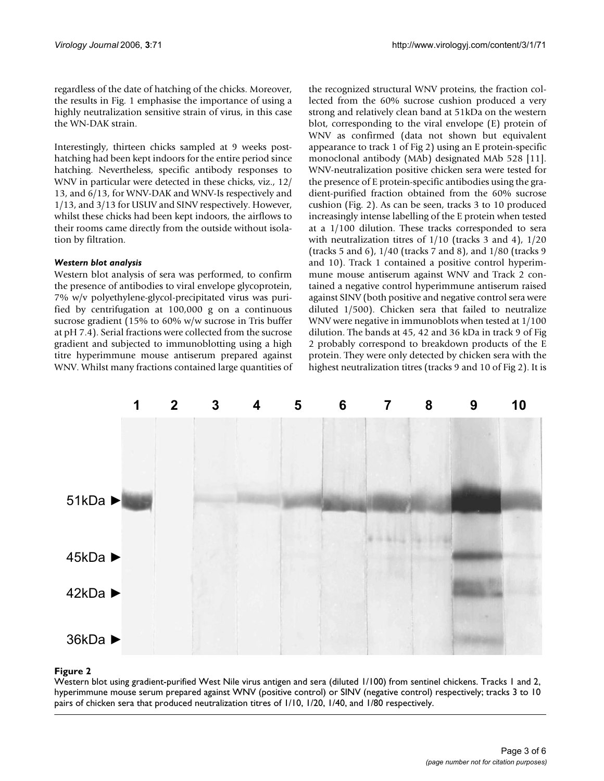regardless of the date of hatching of the chicks. Moreover, the results in Fig. 1 emphasise the importance of using a highly neutralization sensitive strain of virus, in this case the WN-DAK strain.

Interestingly, thirteen chicks sampled at 9 weeks posthatching had been kept indoors for the entire period since hatching. Nevertheless, specific antibody responses to WNV in particular were detected in these chicks, viz., 12/ 13, and 6/13, for WNV-DAK and WNV-Is respectively and 1/13, and 3/13 for USUV and SINV respectively. However, whilst these chicks had been kept indoors, the airflows to their rooms came directly from the outside without isolation by filtration.

#### *Western blot analysis*

Western blot analysis of sera was performed, to confirm the presence of antibodies to viral envelope glycoprotein, 7% w/v polyethylene-glycol-precipitated virus was purified by centrifugation at 100,000 g on a continuous sucrose gradient (15% to 60% w/w sucrose in Tris buffer at pH 7.4). Serial fractions were collected from the sucrose gradient and subjected to immunoblotting using a high titre hyperimmune mouse antiserum prepared against WNV. Whilst many fractions contained large quantities of the recognized structural WNV proteins, the fraction collected from the 60% sucrose cushion produced a very strong and relatively clean band at 51kDa on the western blot, corresponding to the viral envelope (E) protein of WNV as confirmed (data not shown but equivalent appearance to track 1 of Fig 2) using an E protein-specific monoclonal antibody (MAb) designated MAb 528 [11]. WNV-neutralization positive chicken sera were tested for the presence of E protein-specific antibodies using the gradient-purified fraction obtained from the 60% sucrose cushion (Fig. 2). As can be seen, tracks 3 to 10 produced increasingly intense labelling of the E protein when tested at a 1/100 dilution. These tracks corresponded to sera with neutralization titres of 1/10 (tracks 3 and 4), 1/20 (tracks 5 and 6), 1/40 (tracks 7 and 8), and 1/80 (tracks 9 and 10). Track 1 contained a positive control hyperimmune mouse antiserum against WNV and Track 2 contained a negative control hyperimmune antiserum raised against SINV (both positive and negative control sera were diluted 1/500). Chicken sera that failed to neutralize WNV were negative in immunoblots when tested at 1/100 dilution. The bands at 45, 42 and 36 kDa in track 9 of Fig 2 probably correspond to breakdown products of the E protein. They were only detected by chicken sera with the highest neutralization titres (tracks 9 and 10 of Fig 2). It is



#### Western blot using gradient-purified **Figure 2** West Nile virus antigen and sera (diluted 1/100) from sentinel chickens

Western blot using gradient-purified West Nile virus antigen and sera (diluted 1/100) from sentinel chickens. Tracks 1 and 2, hyperimmune mouse serum prepared against WNV (positive control) or SINV (negative control) respectively; tracks 3 to 10 pairs of chicken sera that produced neutralization titres of 1/10, 1/20, 1/40, and 1/80 respectively.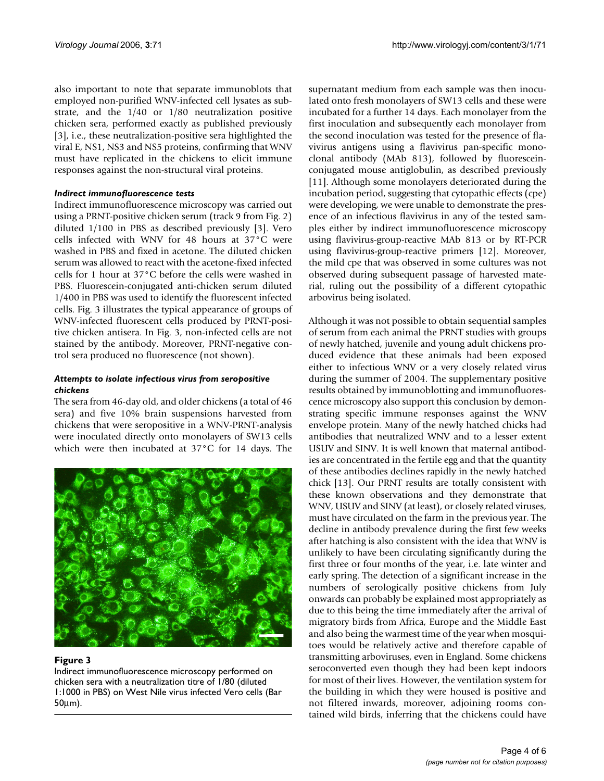also important to note that separate immunoblots that employed non-purified WNV-infected cell lysates as substrate, and the 1/40 or 1/80 neutralization positive chicken sera, performed exactly as published previously [3], i.e., these neutralization-positive sera highlighted the viral E, NS1, NS3 and NS5 proteins, confirming that WNV must have replicated in the chickens to elicit immune responses against the non-structural viral proteins.

#### *Indirect immunofluorescence tests*

Indirect immunofluorescence microscopy was carried out using a PRNT-positive chicken serum (track 9 from Fig. 2) diluted 1/100 in PBS as described previously [3]. Vero cells infected with WNV for 48 hours at 37°C were washed in PBS and fixed in acetone. The diluted chicken serum was allowed to react with the acetone-fixed infected cells for 1 hour at 37°C before the cells were washed in PBS. Fluorescein-conjugated anti-chicken serum diluted 1/400 in PBS was used to identify the fluorescent infected cells. Fig. 3 illustrates the typical appearance of groups of WNV-infected fluorescent cells produced by PRNT-positive chicken antisera. In Fig. 3, non-infected cells are not stained by the antibody. Moreover, PRNT-negative control sera produced no fluorescence (not shown).

#### *Attempts to isolate infectious virus from seropositive chickens*

The sera from 46-day old, and older chickens (a total of 46 sera) and five 10% brain suspensions harvested from chickens that were seropositive in a WNV-PRNT-analysis were inoculated directly onto monolayers of SW13 cells which were then incubated at 37°C for 14 days. The



#### Figure 3

Indirect immunofluorescence microscopy performed on chicken sera with a neutralization titre of 1/80 (diluted 1:1000 in PBS) on West Nile virus infected Vero cells (Bar 50μm).

supernatant medium from each sample was then inoculated onto fresh monolayers of SW13 cells and these were incubated for a further 14 days. Each monolayer from the first inoculation and subsequently each monolayer from the second inoculation was tested for the presence of flavivirus antigens using a flavivirus pan-specific monoclonal antibody (MAb 813), followed by fluoresceinconjugated mouse antiglobulin, as described previously [11]. Although some monolayers deteriorated during the incubation period, suggesting that cytopathic effects (cpe) were developing, we were unable to demonstrate the presence of an infectious flavivirus in any of the tested samples either by indirect immunofluorescence microscopy using flavivirus-group-reactive MAb 813 or by RT-PCR using flavivirus-group-reactive primers [12]. Moreover, the mild cpe that was observed in some cultures was not observed during subsequent passage of harvested material, ruling out the possibility of a different cytopathic arbovirus being isolated.

Although it was not possible to obtain sequential samples of serum from each animal the PRNT studies with groups of newly hatched, juvenile and young adult chickens produced evidence that these animals had been exposed either to infectious WNV or a very closely related virus during the summer of 2004. The supplementary positive results obtained by immunoblotting and immunofluorescence microscopy also support this conclusion by demonstrating specific immune responses against the WNV envelope protein. Many of the newly hatched chicks had antibodies that neutralized WNV and to a lesser extent USUV and SINV. It is well known that maternal antibodies are concentrated in the fertile egg and that the quantity of these antibodies declines rapidly in the newly hatched chick [13]. Our PRNT results are totally consistent with these known observations and they demonstrate that WNV, USUV and SINV (at least), or closely related viruses, must have circulated on the farm in the previous year. The decline in antibody prevalence during the first few weeks after hatching is also consistent with the idea that WNV is unlikely to have been circulating significantly during the first three or four months of the year, i.e. late winter and early spring. The detection of a significant increase in the numbers of serologically positive chickens from July onwards can probably be explained most appropriately as due to this being the time immediately after the arrival of migratory birds from Africa, Europe and the Middle East and also being the warmest time of the year when mosquitoes would be relatively active and therefore capable of transmitting arboviruses, even in England. Some chickens seroconverted even though they had been kept indoors for most of their lives. However, the ventilation system for the building in which they were housed is positive and not filtered inwards, moreover, adjoining rooms contained wild birds, inferring that the chickens could have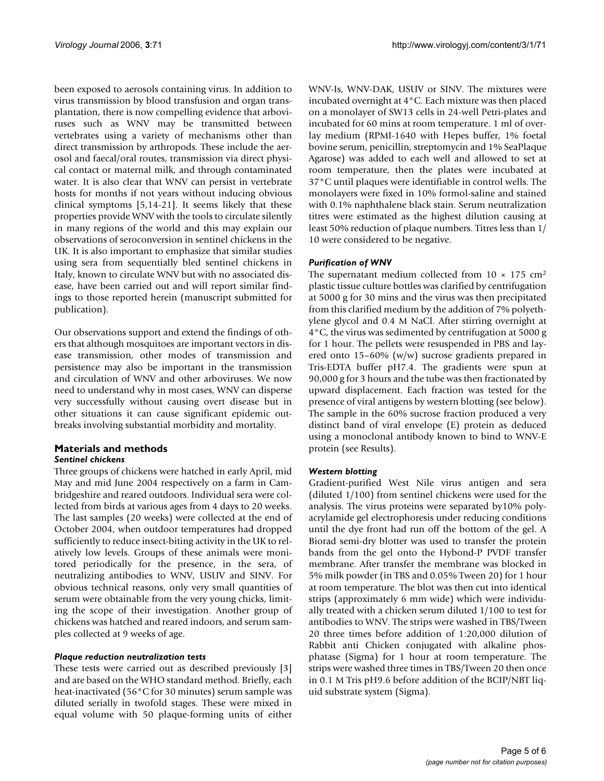been exposed to aerosols containing virus. In addition to virus transmission by blood transfusion and organ transplantation, there is now compelling evidence that arboviruses such as WNV may be transmitted between vertebrates using a variety of mechanisms other than direct transmission by arthropods. These include the aerosol and faecal/oral routes, transmission via direct physical contact or maternal milk, and through contaminated water. It is also clear that WNV can persist in vertebrate hosts for months if not years without inducing obvious clinical symptoms [5,14-21]. It seems likely that these properties provide WNV with the tools to circulate silently in many regions of the world and this may explain our observations of seroconversion in sentinel chickens in the UK. It is also important to emphasize that similar studies using sera from sequentially bled sentinel chickens in Italy, known to circulate WNV but with no associated disease, have been carried out and will report similar findings to those reported herein (manuscript submitted for publication).

Our observations support and extend the findings of others that although mosquitoes are important vectors in disease transmission, other modes of transmission and persistence may also be important in the transmission and circulation of WNV and other arboviruses. We now need to understand why in most cases, WNV can disperse very successfully without causing overt disease but in other situations it can cause significant epidemic outbreaks involving substantial morbidity and mortality.

#### **Materials and methods** *Sentinel chickens*

Three groups of chickens were hatched in early April, mid May and mid June 2004 respectively on a farm in Cambridgeshire and reared outdoors. Individual sera were collected from birds at various ages from 4 days to 20 weeks. The last samples (20 weeks) were collected at the end of October 2004, when outdoor temperatures had dropped sufficiently to reduce insect-biting activity in the UK to relatively low levels. Groups of these animals were monitored periodically for the presence, in the sera, of neutralizing antibodies to WNV, USUV and SINV. For obvious technical reasons, only very small quantities of serum were obtainable from the very young chicks, limiting the scope of their investigation. Another group of chickens was hatched and reared indoors, and serum samples collected at 9 weeks of age.

#### *Plaque reduction neutralization tests*

These tests were carried out as described previously [3] and are based on the WHO standard method. Briefly, each heat-inactivated (56°C for 30 minutes) serum sample was diluted serially in twofold stages. These were mixed in equal volume with 50 plaque-forming units of either WNV-Is, WNV-DAK, USUV or SINV. The mixtures were incubated overnight at 4°C. Each mixture was then placed on a monolayer of SW13 cells in 24-well Petri-plates and incubated for 60 mins at room temperature. 1 ml of overlay medium (RPMI-1640 with Hepes buffer, 1% foetal bovine serum, penicillin, streptomycin and 1% SeaPlaque Agarose) was added to each well and allowed to set at room temperature, then the plates were incubated at 37°C until plaques were identifiable in control wells. The monolayers were fixed in 10% formol-saline and stained with 0.1% naphthalene black stain. Serum neutralization titres were estimated as the highest dilution causing at least 50% reduction of plaque numbers. Titres less than 1/ 10 were considered to be negative.

### *Purification of WNV*

The supernatant medium collected from  $10 \times 175$  cm<sup>2</sup> plastic tissue culture bottles was clarified by centrifugation at 5000 g for 30 mins and the virus was then precipitated from this clarified medium by the addition of 7% polyethylene glycol and 0.4 M NaCl. After stirring overnight at 4°C, the virus was sedimented by centrifugation at 5000 g for 1 hour. The pellets were resuspended in PBS and layered onto 15–60% (w/w) sucrose gradients prepared in Tris-EDTA buffer pH7.4. The gradients were spun at 90,000 g for 3 hours and the tube was then fractionated by upward displacement. Each fraction was tested for the presence of viral antigens by western blotting (see below). The sample in the 60% sucrose fraction produced a very distinct band of viral envelope (E) protein as deduced using a monoclonal antibody known to bind to WNV-E protein (see Results).

#### *Western blotting*

Gradient-purified West Nile virus antigen and sera (diluted 1/100) from sentinel chickens were used for the analysis. The virus proteins were separated by10% polyacrylamide gel electrophoresis under reducing conditions until the dye front had run off the bottom of the gel. A Biorad semi-dry blotter was used to transfer the protein bands from the gel onto the Hybond-P PVDF transfer membrane. After transfer the membrane was blocked in 5% milk powder (in TBS and 0.05% Tween 20) for 1 hour at room temperature. The blot was then cut into identical strips (approximately 6 mm wide) which were individually treated with a chicken serum diluted 1/100 to test for antibodies to WNV. The strips were washed in TBS/Tween 20 three times before addition of 1:20,000 dilution of Rabbit anti Chicken conjugated with alkaline phosphatase (Sigma) for 1 hour at room temperature. The strips were washed three times in TBS/Tween 20 then once in 0.1 M Tris pH9.6 before addition of the BCIP/NBT liquid substrate system (Sigma).